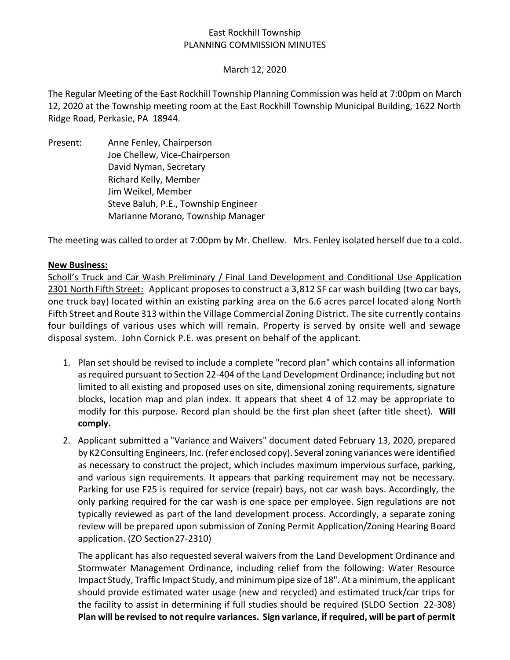## East Rockhill Township PLANNING COMMISSION MINUTES

### March 12, 2020

The Regular Meeting of the East Rockhill Township Planning Commission was held at 7:00pm on March 12, 2020 at the Township meeting room at the East Rockhill Township Municipal Building, 1622 North Ridge Road, Perkasie, PA 18944.

Present: Anne Fenley, Chairperson Joe Chellew, Vice-Chairperson David Nyman, Secretary Richard Kelly, Member Jim Weikel, Member Steve Baluh, P.E., Township Engineer Marianne Morano, Township Manager

The meeting was called to order at 7:00pm by Mr. Chellew. Mrs. Fenley isolated herself due to a cold.

### **New Business:**

Scholl's Truck and Car Wash Preliminary / Final Land Development and Conditional Use Application 2301 North Fifth Street: Applicant proposes to construct a 3,812 SF car wash building (two car bays, one truck bay) located within an existing parking area on the 6.6 acres parcel located along North Fifth Street and Route 313 within the Village Commercial Zoning District. The site currently contains four buildings of various uses which will remain. Property is served by onsite well and sewage disposal system. John Cornick P.E. was present on behalf of the applicant.

- 1. Plan set should be revised to include a complete "record plan" which contains all information as required pursuant to Section 22-404 of the Land Development Ordinance; including but not limited to all existing and proposed uses on site, dimensional zoning requirements, signature blocks, location map and plan index. It appears that sheet 4 of 12 may be appropriate to modify for this purpose. Record plan should be the first plan sheet (after title sheet). **Will comply.**
- 2. Applicant submitted a "Variance and Waivers" document dated February 13, 2020, prepared by K2Consulting Engineers, Inc. (refer enclosed copy). Several zoning variances were identified as necessary to construct the project, which includes maximum impervious surface, parking, and various sign requirements. It appears that parking requirement may not be necessary. Parking for use F25 is required for service (repair) bays, not car wash bays. Accordingly, the only parking required for the car wash is one space per employee. Sign regulations are not typically reviewed as part of the land development process. Accordingly, a separate zoning review will be prepared upon submission of Zoning Permit Application/Zoning Hearing Board application. (ZO Section27-2310)

The applicant has also requested several waivers from the Land Development Ordinance and Stormwater Management Ordinance, including relief from the following: Water Resource Impact Study, Traffic Impact Study, and minimum pipe size of 18". At a minimum, the applicant should provide estimated water usage (new and recycled) and estimated truck/car trips for the facility to assist in determining if full studies should be required (SLDO Section 22-308) **Plan will be revised to not require variances. Sign variance, if required, will be part of permit**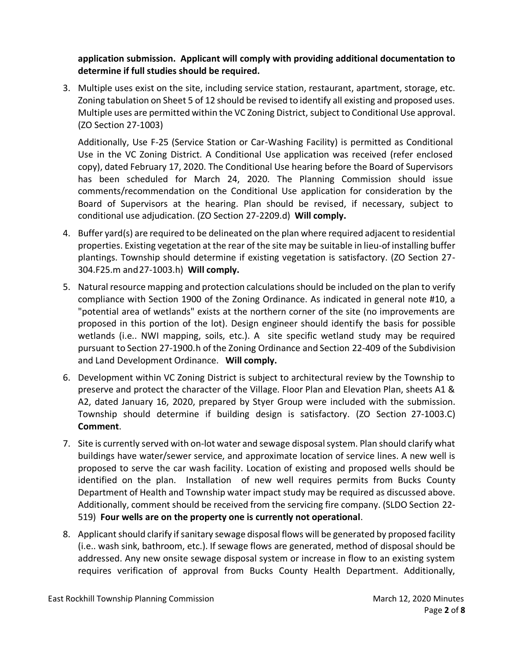**application submission. Applicant will comply with providing additional documentation to determine if full studies should be required.** 

3. Multiple uses exist on the site, including service station, restaurant, apartment, storage, etc. Zoning tabulation on Sheet 5 of 12 should be revised to identify all existing and proposed uses. Multiple uses are permitted within the VC Zoning District, subject to Conditional Use approval. (ZO Section 27-1003)

Additionally, Use F-25 (Service Station or Car-Washing Facility) is permitted as Conditional Use in the VC Zoning District. A Conditional Use application was received (refer enclosed copy), dated February 17, 2020. The Conditional Use hearing before the Board of Supervisors has been scheduled for March 24, 2020. The Planning Commission should issue comments/recommendation on the Conditional Use application for consideration by the Board of Supervisors at the hearing. Plan should be revised, if necessary, subject to conditional use adjudication. (ZO Section 27-2209.d) **Will comply.**

- 4. Buffer yard(s) are required to be delineated on the plan where required adjacent to residential properties. Existing vegetation at the rear of the site may be suitable in lieu-of installing buffer plantings. Township should determine if existing vegetation is satisfactory. (ZO Section 27- 304.F25.m and27-1003.h) **Will comply.**
- 5. Natural resource mapping and protection calculations should be included on the plan to verify compliance with Section 1900 of the Zoning Ordinance. As indicated in general note #10, a "potential area of wetlands" exists at the northern corner of the site (no improvements are proposed in this portion of the lot). Design engineer should identify the basis for possible wetlands (i.e.. NWI mapping, soils, etc.). A site specific wetland study may be required pursuant to Section 27-1900.h of the Zoning Ordinance and Section 22-409 of the Subdivision and Land Development Ordinance. **Will comply.**
- 6. Development within VC Zoning District is subject to architectural review by the Township to preserve and protect the character of the Village. Floor Plan and Elevation Plan, sheets A1 & A2, dated January 16, 2020, prepared by Styer Group were included with the submission. Township should determine if building design is satisfactory. (ZO Section 27-1003.C) **Comment**.
- 7. Site is currently served with on-lot water and sewage disposal system. Plan should clarify what buildings have water/sewer service, and approximate location of service lines. A new well is proposed to serve the car wash facility. Location of existing and proposed wells should be identified on the plan. Installation of new well requires permits from Bucks County Department of Health and Township water impact study may be required as discussed above. Additionally, comment should be received from the servicing fire company. (SLDO Section 22- 519) **Four wells are on the property one is currently not operational**.
- 8. Applicant should clarify if sanitary sewage disposal flows will be generated by proposed facility (i.e.. wash sink, bathroom, etc.). If sewage flows are generated, method of disposal should be addressed. Any new onsite sewage disposal system or increase in flow to an existing system requires verification of approval from Bucks County Health Department. Additionally,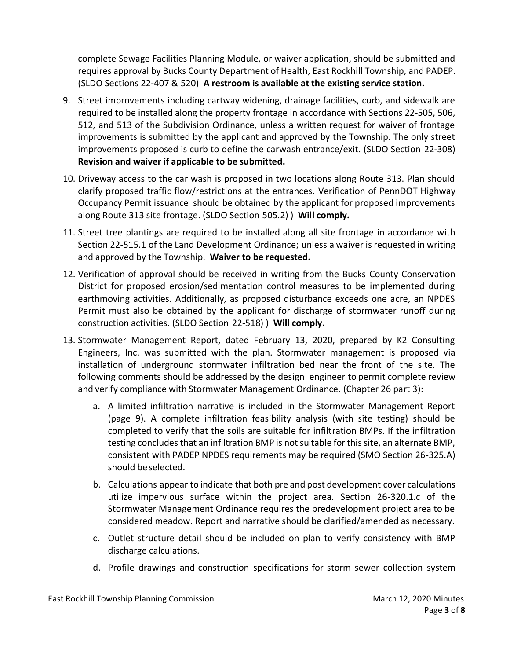complete Sewage Facilities Planning Module, or waiver application, should be submitted and requires approval by Bucks County Department of Health, East Rockhill Township, and PADEP. (SLDO Sections 22-407 & 520) **A restroom is available at the existing service station.**

- 9. Street improvements including cartway widening, drainage facilities, curb, and sidewalk are required to be installed along the property frontage in accordance with Sections 22-505, 506, 512, and 513 of the Subdivision Ordinance, unless a written request for waiver of frontage improvements is submitted by the applicant and approved by the Township. The only street improvements proposed is curb to define the carwash entrance/exit. (SLDO Section 22-308) **Revision and waiver if applicable to be submitted.**
- 10. Driveway access to the car wash is proposed in two locations along Route 313. Plan should clarify proposed traffic flow/restrictions at the entrances. Verification of PennDOT Highway Occupancy Permit issuance should be obtained by the applicant for proposed improvements along Route 313 site frontage. (SLDO Section 505.2) ) **Will comply.**
- 11. Street tree plantings are required to be installed along all site frontage in accordance with Section 22-515.1 of the Land Development Ordinance; unless a waiver isrequested in writing and approved by the Township. **Waiver to be requested.**
- 12. Verification of approval should be received in writing from the Bucks County Conservation District for proposed erosion/sedimentation control measures to be implemented during earthmoving activities. Additionally, as proposed disturbance exceeds one acre, an NPDES Permit must also be obtained by the applicant for discharge of stormwater runoff during construction activities. (SLDO Section 22-518) ) **Will comply.**
- 13. Stormwater Management Report, dated February 13, 2020, prepared by K2 Consulting Engineers, Inc. was submitted with the plan. Stormwater management is proposed via installation of underground stormwater infiltration bed near the front of the site. The following comments should be addressed by the design engineer to permit complete review and verify compliance with Stormwater Management Ordinance. (Chapter 26 part 3):
	- a. A limited infiltration narrative is included in the Stormwater Management Report (page 9). A complete infiltration feasibility analysis (with site testing) should be completed to verify that the soils are suitable for infiltration BMPs. If the infiltration testing concludes that an infiltration BMP is not suitable for this site, an alternate BMP, consistent with PADEP NPDES requirements may be required (SMO Section 26-325.A) should beselected.
	- b. Calculations appear to indicate that both pre and post development cover calculations utilize impervious surface within the project area. Section 26-320.1.c of the Stormwater Management Ordinance requires the predevelopment project area to be considered meadow. Report and narrative should be clarified/amended as necessary.
	- c. Outlet structure detail should be included on plan to verify consistency with BMP discharge calculations.
	- d. Profile drawings and construction specifications for storm sewer collection system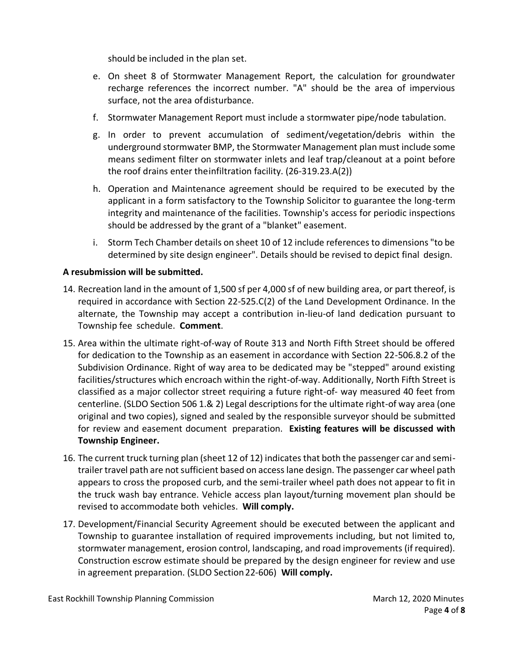should be included in the plan set.

- e. On sheet 8 of Stormwater Management Report, the calculation for groundwater recharge references the incorrect number. "A" should be the area of impervious surface, not the area ofdisturbance.
- f. Stormwater Management Report must include a stormwater pipe/node tabulation.
- g. In order to prevent accumulation of sediment/vegetation/debris within the underground stormwater BMP, the Stormwater Management plan must include some means sediment filter on stormwater inlets and leaf trap/cleanout at a point before the roof drains enter theinfiltration facility. (26-319.23.A(2))
- h. Operation and Maintenance agreement should be required to be executed by the applicant in a form satisfactory to the Township Solicitor to guarantee the long-term integrity and maintenance of the facilities. Township's access for periodic inspections should be addressed by the grant of a "blanket" easement.
- i. Storm Tech Chamber details on sheet 10 of 12 include references to dimensions "to be determined by site design engineer". Details should be revised to depict final design.

# **A resubmission will be submitted.**

- 14. Recreation land in the amount of 1,500 sf per 4,000 sf of new building area, or part thereof, is required in accordance with Section 22-525.C(2) of the Land Development Ordinance. In the alternate, the Township may accept a contribution in-lieu-of land dedication pursuant to Township fee schedule. **Comment**.
- 15. Area within the ultimate right-of-way of Route 313 and North Fifth Street should be offered for dedication to the Township as an easement in accordance with Section 22-506.8.2 of the Subdivision Ordinance. Right of way area to be dedicated may be "stepped" around existing facilities/structures which encroach within the right-of-way. Additionally, North Fifth Street is classified as a major collector street requiring a future right-of- way measured 40 feet from centerline. (SLDO Section 506 1.& 2) Legal descriptions for the ultimate right-of way area (one original and two copies), signed and sealed by the responsible surveyor should be submitted for review and easement document preparation. **Existing features will be discussed with Township Engineer.**
- 16. The current truck turning plan (sheet 12 of 12) indicates that both the passenger car and semitrailer travel path are not sufficient based on access lane design. The passenger car wheel path appears to cross the proposed curb, and the semi-trailer wheel path does not appear to fit in the truck wash bay entrance. Vehicle access plan layout/turning movement plan should be revised to accommodate both vehicles. **Will comply.**
- 17. Development/Financial Security Agreement should be executed between the applicant and Township to guarantee installation of required improvements including, but not limited to, stormwater management, erosion control, landscaping, and road improvements (if required). Construction escrow estimate should be prepared by the design engineer for review and use in agreement preparation. (SLDO Section22-606) **Will comply.**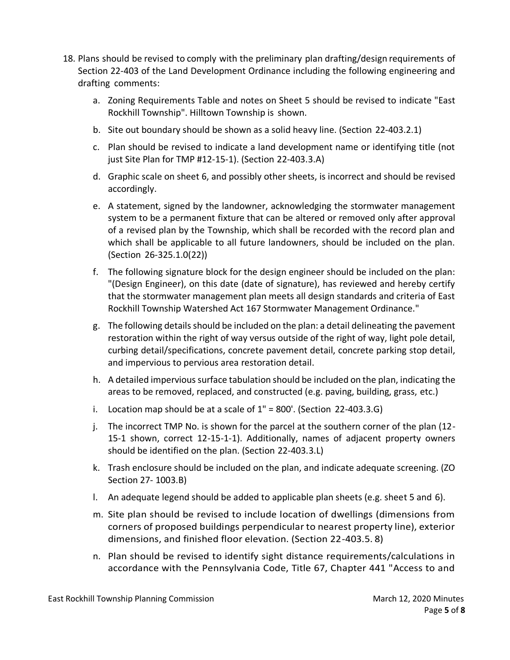- 18. Plans should be revised to comply with the preliminary plan drafting/design requirements of Section 22-403 of the Land Development Ordinance including the following engineering and drafting comments:
	- a. Zoning Requirements Table and notes on Sheet 5 should be revised to indicate "East Rockhill Township". Hilltown Township is shown.
	- b. Site out boundary should be shown as a solid heavy line. (Section 22-403.2.1)
	- c. Plan should be revised to indicate a land development name or identifying title (not just Site Plan for TMP #12-15-1). (Section 22-403.3.A)
	- d. Graphic scale on sheet 6, and possibly other sheets, is incorrect and should be revised accordingly.
	- e. A statement, signed by the landowner, acknowledging the stormwater management system to be a permanent fixture that can be altered or removed only after approval of a revised plan by the Township, which shall be recorded with the record plan and which shall be applicable to all future landowners, should be included on the plan. (Section 26-325.1.0(22))
	- f. The following signature block for the design engineer should be included on the plan: "(Design Engineer), on this date (date of signature), has reviewed and hereby certify that the stormwater management plan meets all design standards and criteria of East Rockhill Township Watershed Act 167 Stormwater Management Ordinance."
	- g. The following details should be included on the plan: a detail delineating the pavement restoration within the right of way versus outside of the right of way, light pole detail, curbing detail/specifications, concrete pavement detail, concrete parking stop detail, and impervious to pervious area restoration detail.
	- h. A detailed impervious surface tabulation should be included on the plan, indicating the areas to be removed, replaced, and constructed (e.g. paving, building, grass, etc.)
	- i. Location map should be at a scale of  $1'' = 800'$ . (Section 22-403.3.G)
	- j. The incorrect TMP No. is shown for the parcel at the southern corner of the plan (12- 15-1 shown, correct 12-15-1-1). Additionally, names of adjacent property owners should be identified on the plan. (Section 22-403.3.L)
	- k. Trash enclosure should be included on the plan, and indicate adequate screening. (ZO Section 27- 1003.B)
	- l. An adequate legend should be added to applicable plan sheets (e.g. sheet 5 and 6).
	- m. Site plan should be revised to include location of dwellings (dimensions from corners of proposed buildings perpendicular to nearest property line), exterior dimensions, and finished floor elevation. (Section 22-403.5. 8)
	- n. Plan should be revised to identify sight distance requirements/calculations in accordance with the Pennsylvania Code, Title 67, Chapter 441 "Access to and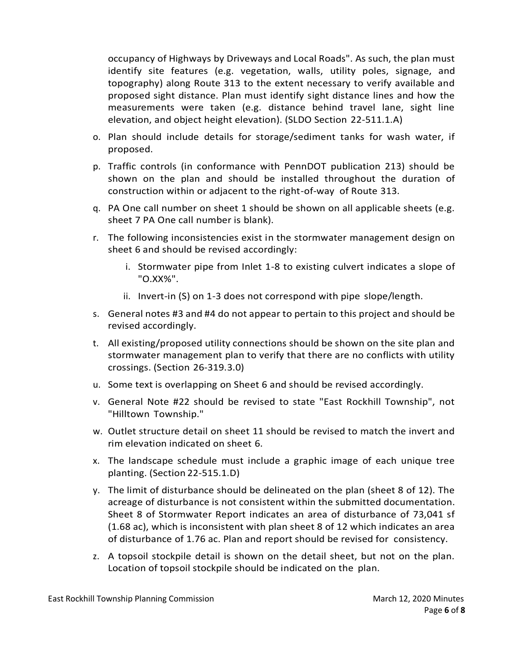occupancy of Highways by Driveways and Local Roads". As such, the plan must identify site features (e.g. vegetation, walls, utility poles, signage, and topography) along Route 313 to the extent necessary to verify available and proposed sight distance. Plan must identify sight distance lines and how the measurements were taken (e.g. distance behind travel lane, sight line elevation, and object height elevation). (SLDO Section 22-511.1.A)

- o. Plan should include details for storage/sediment tanks for wash water, if proposed.
- p. Traffic controls (in conformance with PennDOT publication 213) should be shown on the plan and should be installed throughout the duration of construction within or adjacent to the right-of-way of Route 313.
- q. PA One call number on sheet 1 should be shown on all applicable sheets (e.g. sheet 7 PA One call number is blank).
- r. The following inconsistencies exist in the stormwater management design on sheet 6 and should be revised accordingly:
	- i. Stormwater pipe from Inlet 1-8 to existing culvert indicates a slope of "O.XX%".
	- ii. Invert-in (S) on 1-3 does not correspond with pipe slope/length.
- s. General notes #3 and #4 do not appear to pertain to this project and should be revised accordingly.
- t. All existing/proposed utility connections should be shown on the site plan and stormwater management plan to verify that there are no conflicts with utility crossings. (Section 26-319.3.0)
- u. Some text is overlapping on Sheet 6 and should be revised accordingly.
- v. General Note #22 should be revised to state "East Rockhill Township", not "Hilltown Township."
- w. Outlet structure detail on sheet 11 should be revised to match the invert and rim elevation indicated on sheet 6.
- x. The landscape schedule must include a graphic image of each unique tree planting. (Section 22-515.1.D)
- y. The limit of disturbance should be delineated on the plan (sheet 8 of 12). The acreage of disturbance is not consistent within the submitted documentation. Sheet 8 of Stormwater Report indicates an area of disturbance of 73,041 sf (1.68 ac), which is inconsistent with plan sheet 8 of 12 which indicates an area of disturbance of 1.76 ac. Plan and report should be revised for consistency.
- z. A topsoil stockpile detail is shown on the detail sheet, but not on the plan. Location of topsoil stockpile should be indicated on the plan.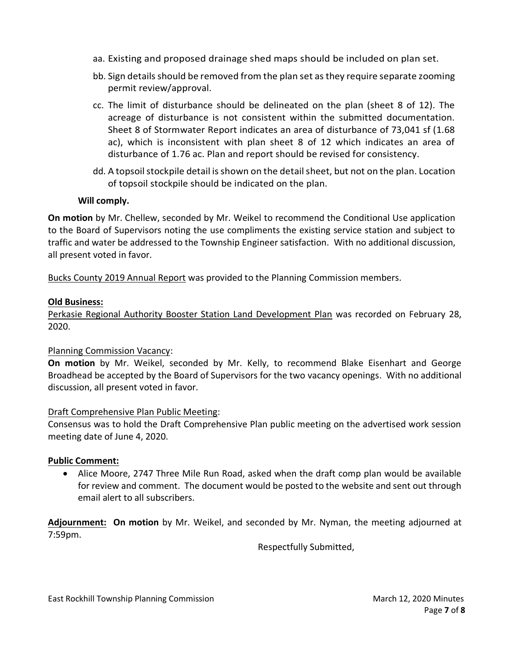- aa. Existing and proposed drainage shed maps should be included on plan set.
- bb. Sign details should be removed from the plan set as they require separate zooming permit review/approval.
- cc. The limit of disturbance should be delineated on the plan (sheet 8 of 12). The acreage of disturbance is not consistent within the submitted documentation. Sheet 8 of Stormwater Report indicates an area of disturbance of 73,041 sf (1.68 ac), which is inconsistent with plan sheet 8 of 12 which indicates an area of disturbance of 1.76 ac. Plan and report should be revised for consistency.
- dd. A topsoil stockpile detail is shown on the detail sheet, but not on the plan. Location of topsoil stockpile should be indicated on the plan.

## **Will comply.**

**On motion** by Mr. Chellew, seconded by Mr. Weikel to recommend the Conditional Use application to the Board of Supervisors noting the use compliments the existing service station and subject to traffic and water be addressed to the Township Engineer satisfaction. With no additional discussion, all present voted in favor.

Bucks County 2019 Annual Report was provided to the Planning Commission members.

## **Old Business:**

Perkasie Regional Authority Booster Station Land Development Plan was recorded on February 28, 2020.

### Planning Commission Vacancy:

**On motion** by Mr. Weikel, seconded by Mr. Kelly, to recommend Blake Eisenhart and George Broadhead be accepted by the Board of Supervisors for the two vacancy openings. With no additional discussion, all present voted in favor.

### Draft Comprehensive Plan Public Meeting:

Consensus was to hold the Draft Comprehensive Plan public meeting on the advertised work session meeting date of June 4, 2020.

### **Public Comment:**

• Alice Moore, 2747 Three Mile Run Road, asked when the draft comp plan would be available for review and comment. The document would be posted to the website and sent out through email alert to all subscribers.

**Adjournment: On motion** by Mr. Weikel, and seconded by Mr. Nyman, the meeting adjourned at 7:59pm.

Respectfully Submitted,